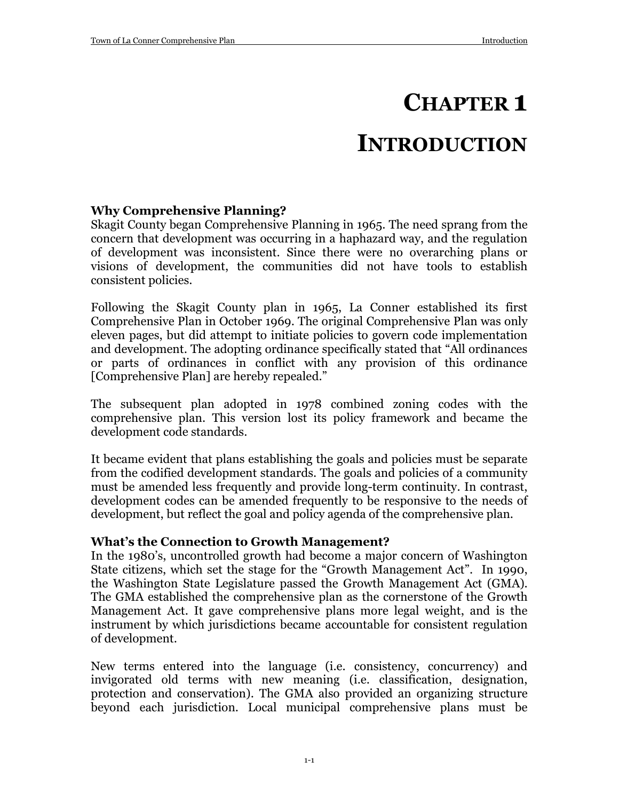# **CHAPTER 1**

# **INTRODUCTION**

## **Why Comprehensive Planning?**

Skagit County began Comprehensive Planning in 1965. The need sprang from the concern that development was occurring in a haphazard way, and the regulation of development was inconsistent. Since there were no overarching plans or visions of development, the communities did not have tools to establish consistent policies.

Following the Skagit County plan in 1965, La Conner established its first Comprehensive Plan in October 1969. The original Comprehensive Plan was only eleven pages, but did attempt to initiate policies to govern code implementation and development. The adopting ordinance specifically stated that "All ordinances or parts of ordinances in conflict with any provision of this ordinance [Comprehensive Plan] are hereby repealed."

The subsequent plan adopted in 1978 combined zoning codes with the comprehensive plan. This version lost its policy framework and became the development code standards.

It became evident that plans establishing the goals and policies must be separate from the codified development standards. The goals and policies of a community must be amended less frequently and provide long-term continuity. In contrast, development codes can be amended frequently to be responsive to the needs of development, but reflect the goal and policy agenda of the comprehensive plan.

#### **What's the Connection to Growth Management?**

In the 1980's, uncontrolled growth had become a major concern of Washington State citizens, which set the stage for the "Growth Management Act". In 1990, the Washington State Legislature passed the Growth Management Act (GMA). The GMA established the comprehensive plan as the cornerstone of the Growth Management Act. It gave comprehensive plans more legal weight, and is the instrument by which jurisdictions became accountable for consistent regulation of development.

New terms entered into the language (i.e. consistency, concurrency) and invigorated old terms with new meaning (i.e. classification, designation, protection and conservation). The GMA also provided an organizing structure beyond each jurisdiction. Local municipal comprehensive plans must be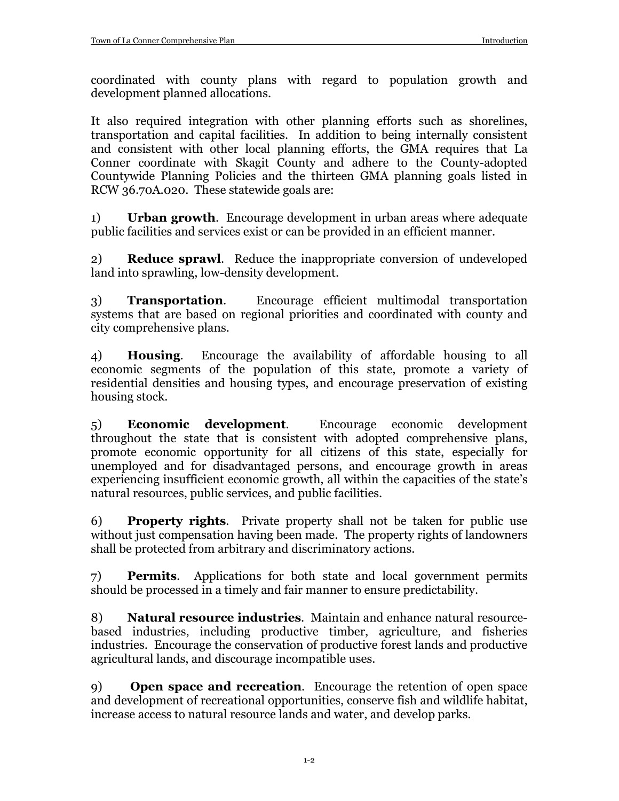coordinated with county plans with regard to population growth and development planned allocations.

It also required integration with other planning efforts such as shorelines, transportation and capital facilities. In addition to being internally consistent and consistent with other local planning efforts, the GMA requires that La Conner coordinate with Skagit County and adhere to the County-adopted Countywide Planning Policies and the thirteen GMA planning goals listed in RCW 36.70A.020. These statewide goals are:

1) **Urban growth**. Encourage development in urban areas where adequate public facilities and services exist or can be provided in an efficient manner.

2) **Reduce sprawl**. Reduce the inappropriate conversion of undeveloped land into sprawling, low-density development.

3) **Transportation**. Encourage efficient multimodal transportation systems that are based on regional priorities and coordinated with county and city comprehensive plans.

4) **Housing**. Encourage the availability of affordable housing to all economic segments of the population of this state, promote a variety of residential densities and housing types, and encourage preservation of existing housing stock.

5) **Economic development**. Encourage economic development throughout the state that is consistent with adopted comprehensive plans, promote economic opportunity for all citizens of this state, especially for unemployed and for disadvantaged persons, and encourage growth in areas experiencing insufficient economic growth, all within the capacities of the state's natural resources, public services, and public facilities.

6) **Property rights**. Private property shall not be taken for public use without just compensation having been made. The property rights of landowners shall be protected from arbitrary and discriminatory actions.

7) **Permits**. Applications for both state and local government permits should be processed in a timely and fair manner to ensure predictability.

8) **Natural resource industries**. Maintain and enhance natural resourcebased industries, including productive timber, agriculture, and fisheries industries. Encourage the conservation of productive forest lands and productive agricultural lands, and discourage incompatible uses.

9) **Open space and recreation**. Encourage the retention of open space and development of recreational opportunities, conserve fish and wildlife habitat, increase access to natural resource lands and water, and develop parks.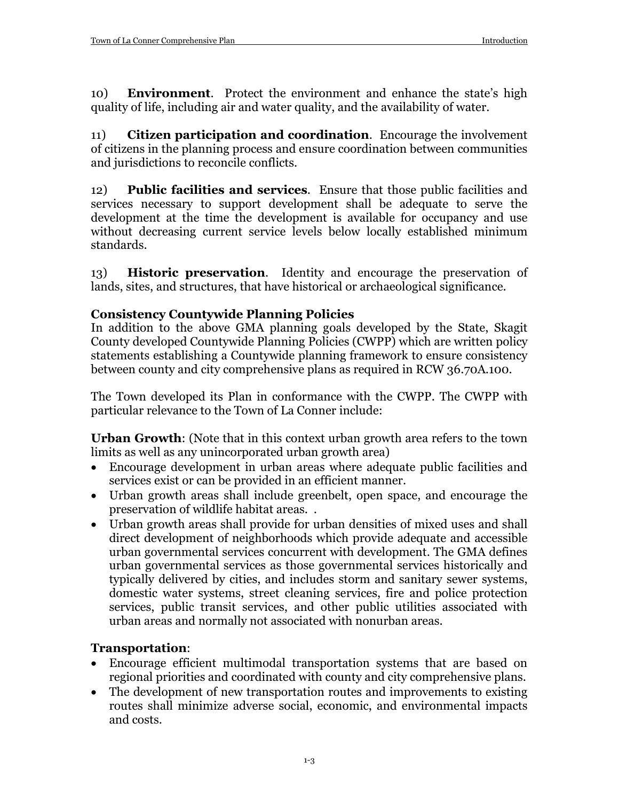10) **Environment**. Protect the environment and enhance the state's high quality of life, including air and water quality, and the availability of water.

11) **Citizen participation and coordination**. Encourage the involvement of citizens in the planning process and ensure coordination between communities and jurisdictions to reconcile conflicts.

12) **Public facilities and services**. Ensure that those public facilities and services necessary to support development shall be adequate to serve the development at the time the development is available for occupancy and use without decreasing current service levels below locally established minimum standards.

13) **Historic preservation**. Identity and encourage the preservation of lands, sites, and structures, that have historical or archaeological significance.

## **Consistency Countywide Planning Policies**

In addition to the above GMA planning goals developed by the State, Skagit County developed Countywide Planning Policies (CWPP) which are written policy statements establishing a Countywide planning framework to ensure consistency between county and city comprehensive plans as required in RCW 36.70A.100.

The Town developed its Plan in conformance with the CWPP. The CWPP with particular relevance to the Town of La Conner include:

**Urban Growth**: (Note that in this context urban growth area refers to the town limits as well as any unincorporated urban growth area)

- Encourage development in urban areas where adequate public facilities and services exist or can be provided in an efficient manner.
- Urban growth areas shall include greenbelt, open space, and encourage the preservation of wildlife habitat areas. .
- Urban growth areas shall provide for urban densities of mixed uses and shall direct development of neighborhoods which provide adequate and accessible urban governmental services concurrent with development. The GMA defines urban governmental services as those governmental services historically and typically delivered by cities, and includes storm and sanitary sewer systems, domestic water systems, street cleaning services, fire and police protection services, public transit services, and other public utilities associated with urban areas and normally not associated with nonurban areas.

# **Transportation**:

- Encourage efficient multimodal transportation systems that are based on regional priorities and coordinated with county and city comprehensive plans.
- The development of new transportation routes and improvements to existing routes shall minimize adverse social, economic, and environmental impacts and costs.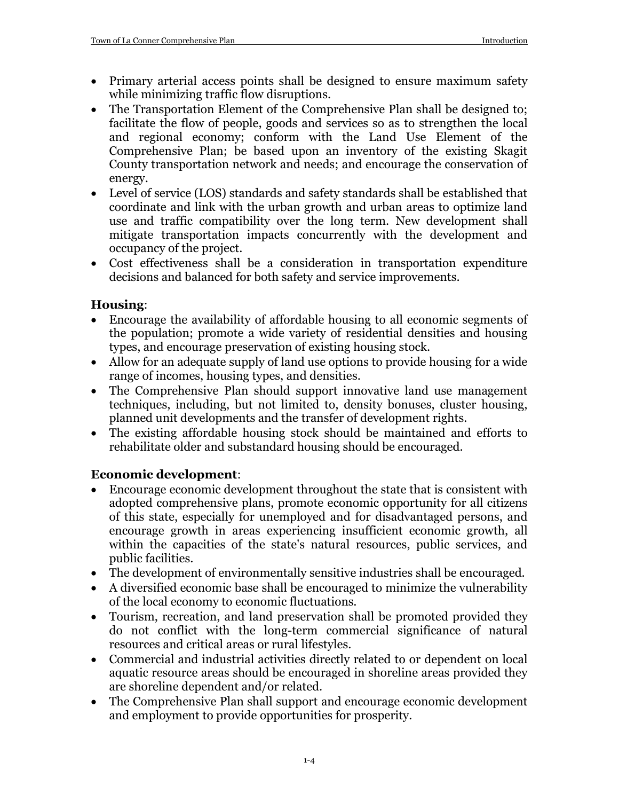- Primary arterial access points shall be designed to ensure maximum safety while minimizing traffic flow disruptions.
- The Transportation Element of the Comprehensive Plan shall be designed to; facilitate the flow of people, goods and services so as to strengthen the local and regional economy; conform with the Land Use Element of the Comprehensive Plan; be based upon an inventory of the existing Skagit County transportation network and needs; and encourage the conservation of energy.
- Level of service (LOS) standards and safety standards shall be established that coordinate and link with the urban growth and urban areas to optimize land use and traffic compatibility over the long term. New development shall mitigate transportation impacts concurrently with the development and occupancy of the project.
- Cost effectiveness shall be a consideration in transportation expenditure decisions and balanced for both safety and service improvements.

## **Housing**:

- Encourage the availability of affordable housing to all economic segments of the population; promote a wide variety of residential densities and housing types, and encourage preservation of existing housing stock.
- Allow for an adequate supply of land use options to provide housing for a wide range of incomes, housing types, and densities.
- The Comprehensive Plan should support innovative land use management techniques, including, but not limited to, density bonuses, cluster housing, planned unit developments and the transfer of development rights.
- The existing affordable housing stock should be maintained and efforts to rehabilitate older and substandard housing should be encouraged.

# **Economic development**:

- Encourage economic development throughout the state that is consistent with adopted comprehensive plans, promote economic opportunity for all citizens of this state, especially for unemployed and for disadvantaged persons, and encourage growth in areas experiencing insufficient economic growth, all within the capacities of the state's natural resources, public services, and public facilities.
- The development of environmentally sensitive industries shall be encouraged.
- A diversified economic base shall be encouraged to minimize the vulnerability of the local economy to economic fluctuations.
- Tourism, recreation, and land preservation shall be promoted provided they do not conflict with the long-term commercial significance of natural resources and critical areas or rural lifestyles.
- Commercial and industrial activities directly related to or dependent on local aquatic resource areas should be encouraged in shoreline areas provided they are shoreline dependent and/or related.
- The Comprehensive Plan shall support and encourage economic development and employment to provide opportunities for prosperity.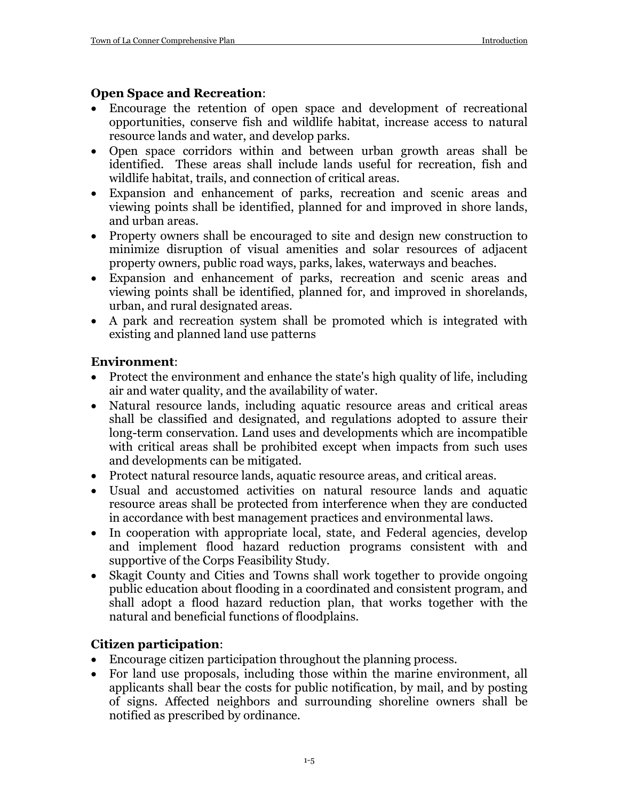### **Open Space and Recreation**:

- Encourage the retention of open space and development of recreational opportunities, conserve fish and wildlife habitat, increase access to natural resource lands and water, and develop parks.
- Open space corridors within and between urban growth areas shall be identified. These areas shall include lands useful for recreation, fish and wildlife habitat, trails, and connection of critical areas.
- Expansion and enhancement of parks, recreation and scenic areas and viewing points shall be identified, planned for and improved in shore lands, and urban areas.
- Property owners shall be encouraged to site and design new construction to minimize disruption of visual amenities and solar resources of adjacent property owners, public road ways, parks, lakes, waterways and beaches.
- Expansion and enhancement of parks, recreation and scenic areas and viewing points shall be identified, planned for, and improved in shorelands, urban, and rural designated areas.
- A park and recreation system shall be promoted which is integrated with existing and planned land use patterns

## **Environment**:

- Protect the environment and enhance the state's high quality of life, including air and water quality, and the availability of water.
- Natural resource lands, including aquatic resource areas and critical areas shall be classified and designated, and regulations adopted to assure their long-term conservation. Land uses and developments which are incompatible with critical areas shall be prohibited except when impacts from such uses and developments can be mitigated.
- Protect natural resource lands, aquatic resource areas, and critical areas.
- Usual and accustomed activities on natural resource lands and aquatic resource areas shall be protected from interference when they are conducted in accordance with best management practices and environmental laws.
- In cooperation with appropriate local, state, and Federal agencies, develop and implement flood hazard reduction programs consistent with and supportive of the Corps Feasibility Study.
- Skagit County and Cities and Towns shall work together to provide ongoing public education about flooding in a coordinated and consistent program, and shall adopt a flood hazard reduction plan, that works together with the natural and beneficial functions of floodplains.

## **Citizen participation**:

- Encourage citizen participation throughout the planning process.
- For land use proposals, including those within the marine environment, all applicants shall bear the costs for public notification, by mail, and by posting of signs. Affected neighbors and surrounding shoreline owners shall be notified as prescribed by ordinance.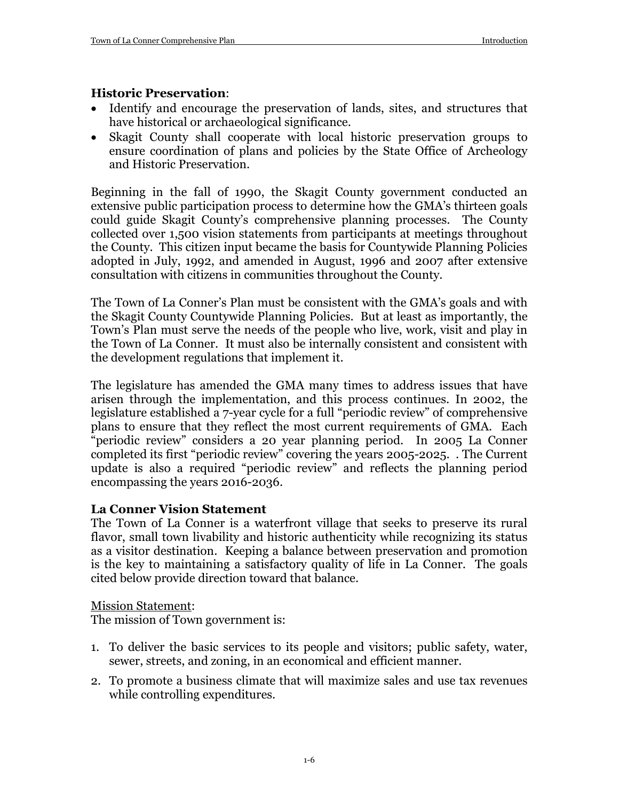## **Historic Preservation**:

- Identify and encourage the preservation of lands, sites, and structures that have historical or archaeological significance.
- Skagit County shall cooperate with local historic preservation groups to ensure coordination of plans and policies by the State Office of Archeology and Historic Preservation.

Beginning in the fall of 1990, the Skagit County government conducted an extensive public participation process to determine how the GMA's thirteen goals could guide Skagit County's comprehensive planning processes. The County collected over 1,500 vision statements from participants at meetings throughout the County. This citizen input became the basis for Countywide Planning Policies adopted in July, 1992, and amended in August, 1996 and 2007 after extensive consultation with citizens in communities throughout the County.

The Town of La Conner's Plan must be consistent with the GMA's goals and with the Skagit County Countywide Planning Policies. But at least as importantly, the Town's Plan must serve the needs of the people who live, work, visit and play in the Town of La Conner. It must also be internally consistent and consistent with the development regulations that implement it.

The legislature has amended the GMA many times to address issues that have arisen through the implementation, and this process continues. In 2002, the legislature established a 7-year cycle for a full "periodic review" of comprehensive plans to ensure that they reflect the most current requirements of GMA. Each "periodic review" considers a 20 year planning period. In 2005 La Conner completed its first "periodic review" covering the years 2005-2025. . The Current update is also a required "periodic review" and reflects the planning period encompassing the years 2016-2036.

## **La Conner Vision Statement**

The Town of La Conner is a waterfront village that seeks to preserve its rural flavor, small town livability and historic authenticity while recognizing its status as a visitor destination. Keeping a balance between preservation and promotion is the key to maintaining a satisfactory quality of life in La Conner. The goals cited below provide direction toward that balance.

Mission Statement:

The mission of Town government is:

- 1. To deliver the basic services to its people and visitors; public safety, water, sewer, streets, and zoning, in an economical and efficient manner.
- 2. To promote a business climate that will maximize sales and use tax revenues while controlling expenditures.